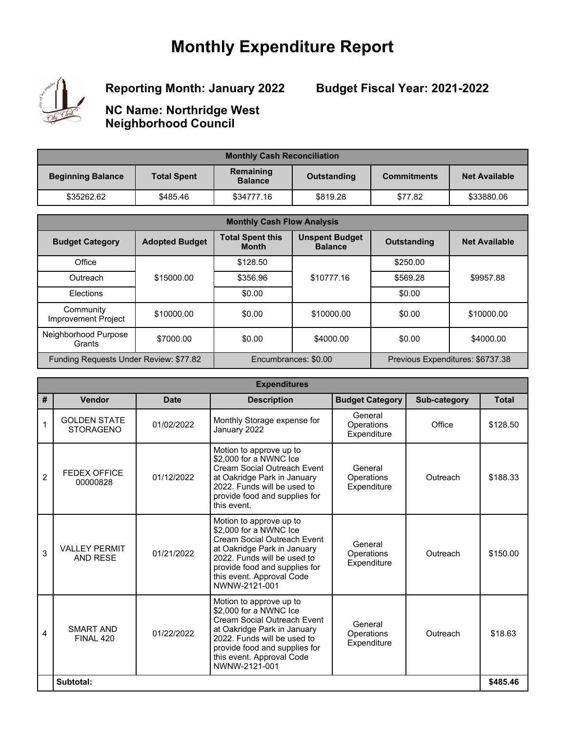## **Monthly Expenditure Report**



**Reporting Month: January 2022**

**Budget Fiscal Year: 2021-2022**

**NC Name: Northridge West Neighborhood Council**

| <b>Monthly Cash Reconciliation</b>                                                                                 |          |            |          |         |                      |  |
|--------------------------------------------------------------------------------------------------------------------|----------|------------|----------|---------|----------------------|--|
| Remaining<br><b>Total Spent</b><br><b>Beginning Balance</b><br><b>Commitments</b><br>Outstanding<br><b>Balance</b> |          |            |          |         | <b>Net Available</b> |  |
| \$35262.62                                                                                                         | \$485.46 | \$34777.16 | \$819.28 | \$77.82 | \$33880.06           |  |

| <b>Monthly Cash Flow Analysis</b>      |                       |                                         |                                         |                    |                                  |  |
|----------------------------------------|-----------------------|-----------------------------------------|-----------------------------------------|--------------------|----------------------------------|--|
| <b>Budget Category</b>                 | <b>Adopted Budget</b> | <b>Total Spent this</b><br><b>Month</b> | <b>Unspent Budget</b><br><b>Balance</b> | <b>Outstanding</b> | <b>Net Available</b>             |  |
| Office                                 |                       | \$128.50                                |                                         | \$250.00           |                                  |  |
| Outreach                               | \$15000.00            | \$356.96                                | \$10777.16                              | \$569.28           | \$9957.88                        |  |
| Elections                              |                       | \$0.00                                  |                                         | \$0.00             |                                  |  |
| Community<br>Improvement Project       | \$10000.00            | \$0.00                                  | \$10000.00                              | \$0.00             | \$10000.00                       |  |
| Neighborhood Purpose<br>Grants         | \$7000.00             | \$0.00                                  | \$4000.00                               | \$0.00             | \$4000.00                        |  |
| Funding Requests Under Review: \$77.82 |                       |                                         | Encumbrances: \$0.00                    |                    | Previous Expenditures: \$6737.38 |  |

| <b>Expenditures</b> |                                         |             |                                                                                                                                                                                                                               |                                      |              |              |
|---------------------|-----------------------------------------|-------------|-------------------------------------------------------------------------------------------------------------------------------------------------------------------------------------------------------------------------------|--------------------------------------|--------------|--------------|
| #                   | Vendor                                  | <b>Date</b> | <b>Description</b>                                                                                                                                                                                                            | <b>Budget Category</b>               | Sub-category | <b>Total</b> |
| $\mathbf 1$         | <b>GOLDEN STATE</b><br><b>STORAGENO</b> | 01/02/2022  | Monthly Storage expense for<br>January 2022                                                                                                                                                                                   | General<br>Operations<br>Expenditure | Office       | \$128.50     |
| $\overline{2}$      | <b>FEDEX OFFICE</b><br>00000828         | 01/12/2022  | Motion to approve up to<br>\$2,000 for a NWNC Ice<br>Cream Social Outreach Event<br>at Oakridge Park in January<br>2022. Funds will be used to<br>provide food and supplies for<br>this event.                                | General<br>Operations<br>Expenditure | Outreach     | \$188.33     |
| 3                   | <b>VALLEY PERMIT</b><br><b>AND RESE</b> | 01/21/2022  | Motion to approve up to<br>\$2,000 for a NWNC Ice<br>Cream Social Outreach Event<br>at Oakridge Park in January<br>2022. Funds will be used to<br>provide food and supplies for<br>this event. Approval Code<br>NWNW-2121-001 | General<br>Operations<br>Expenditure | Outreach     | \$150.00     |
| 4                   | <b>SMART AND</b><br>FINAL 420           | 01/22/2022  | Motion to approve up to<br>\$2,000 for a NWNC Ice<br>Cream Social Outreach Event<br>at Oakridge Park in January<br>2022. Funds will be used to<br>provide food and supplies for<br>this event. Approval Code<br>NWNW-2121-001 | General<br>Operations<br>Expenditure | Outreach     | \$18.63      |
|                     | Subtotal:                               |             |                                                                                                                                                                                                                               |                                      |              | \$485.46     |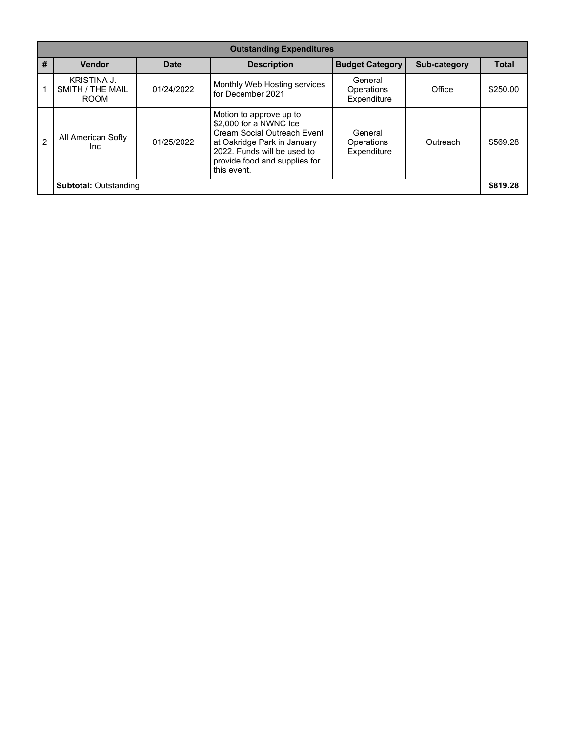|                              | <b>Outstanding Expenditures</b>                |             |                                                                                                                                                                                                |                                      |              |              |  |
|------------------------------|------------------------------------------------|-------------|------------------------------------------------------------------------------------------------------------------------------------------------------------------------------------------------|--------------------------------------|--------------|--------------|--|
| #                            | <b>Vendor</b>                                  | <b>Date</b> | <b>Description</b>                                                                                                                                                                             | <b>Budget Category</b>               | Sub-category | <b>Total</b> |  |
|                              | KRISTINA J.<br>SMITH / THE MAIL<br><b>ROOM</b> | 01/24/2022  | Monthly Web Hosting services<br>for December 2021                                                                                                                                              | General<br>Operations<br>Expenditure | Office       | \$250.00     |  |
| $\mathfrak{p}$               | All American Softy<br>Inc.                     | 01/25/2022  | Motion to approve up to<br>\$2,000 for a NWNC Ice<br>Cream Social Outreach Event<br>at Oakridge Park in January<br>2022. Funds will be used to<br>provide food and supplies for<br>this event. | General<br>Operations<br>Expenditure | Outreach     | \$569.28     |  |
| <b>Subtotal: Outstanding</b> |                                                |             |                                                                                                                                                                                                |                                      | \$819.28     |              |  |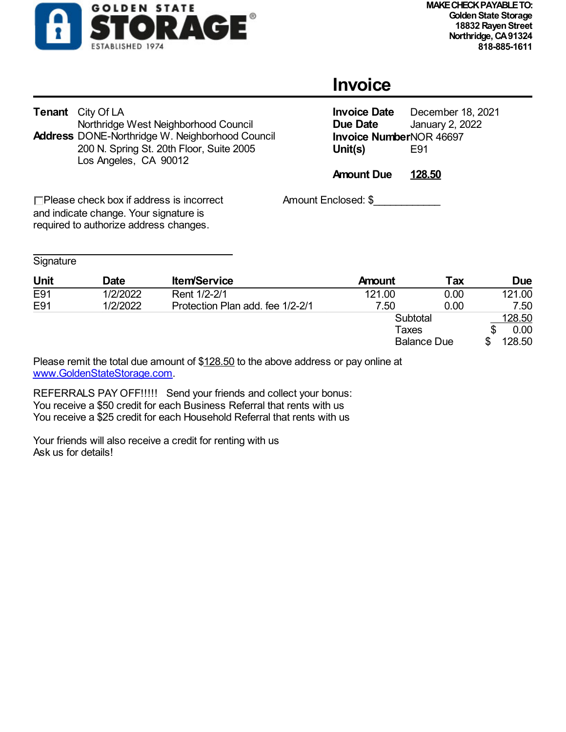

## **Invoice**

| <b>Tenant</b> City Of LA                               |
|--------------------------------------------------------|
| Northridge West Neighborhood Council                   |
| <b>Address DONE-Northridge W. Neighborhood Council</b> |
| 200 N. Spring St. 20th Floor, Suite 2005               |
| Los Angeles, CA 90012                                  |
|                                                        |

**Invoice Date** December 18, 2021<br>**Due Date** January 2, 2022 **January 2, 2022 Invoice Number**NOR 46697<br>Unit(s) E91 **Unit(s)** 

**Amount Due 128.50**

Amount Enclosed: \$

 $\Box$  Please check box if address is incorrect and indicate change. Your signature is required to authorize address changes.

| Signature |
|-----------|
|-----------|

| Unit | Date     | <b>Item/Service</b>              | <b>Amount</b> | Tax                | <b>Due</b> |
|------|----------|----------------------------------|---------------|--------------------|------------|
| E91  | 1/2/2022 | Rent 1/2-2/1                     | 121.00        | 0.00               | 121.00     |
| E91  | 1/2/2022 | Protection Plan add. fee 1/2-2/1 | 7.50          | 0.00               | 7.50       |
|      |          |                                  | Subtotal      |                    | 128.50     |
|      |          |                                  | Taxes         |                    | 0.00       |
|      |          |                                  |               | <b>Balance Due</b> | 128.50     |

Please remit the total due amount of \$128.50 to the above address or pay online at www.GoldenStateStorage.com.

REFERRALS PAY OFF!!!!! Send your friends and collect your bonus: You receive a \$50 credit for each Business Referral that rents with us You receive a \$25 credit for each Household Referral that rents with us

Your friends will also receive a credit for renting with us Ask us for details!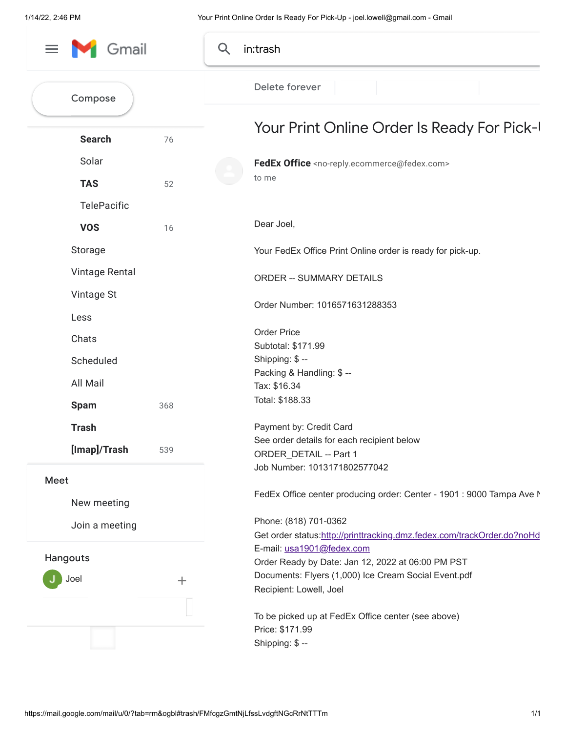| Gmail<br>$\equiv$   | Q     | in:trash                                                                        |
|---------------------|-------|---------------------------------------------------------------------------------|
| Compose             |       | Delete forever                                                                  |
| <b>Search</b>       | 76    | Your Print Online Order Is Ready For Pick-I                                     |
| Solar               |       | FedEx Office <no-reply.ecommerce@fedex.com></no-reply.ecommerce@fedex.com>      |
| <b>TAS</b>          |       | to me                                                                           |
|                     | 52    |                                                                                 |
| <b>TelePacific</b>  |       |                                                                                 |
| <b>VOS</b>          | 16    | Dear Joel,                                                                      |
| Storage             |       | Your FedEx Office Print Online order is ready for pick-up.                      |
| Vintage Rental      |       | <b>ORDER -- SUMMARY DETAILS</b>                                                 |
| Vintage St          |       |                                                                                 |
| Less                |       | Order Number: 1016571631288353                                                  |
|                     |       | <b>Order Price</b>                                                              |
| Chats               |       | Subtotal: \$171.99                                                              |
| Scheduled           |       | Shipping: \$-                                                                   |
| All Mail            |       | Packing & Handling: \$ --<br>Tax: \$16.34                                       |
|                     |       | Total: \$188.33                                                                 |
| <b>Spam</b><br>368  |       |                                                                                 |
| <b>Trash</b>        |       | Payment by: Credit Card                                                         |
| [Imap]/Trash<br>539 |       | See order details for each recipient below<br>ORDER DETAIL -- Part 1            |
|                     |       | Job Number: 1013171802577042                                                    |
| Meet                |       |                                                                                 |
| New meeting         |       | FedEx Office center producing order: Center - 1901 : 9000 Tampa Ave N           |
|                     |       | Phone: (818) 701-0362                                                           |
| Join a meeting      |       | Get order status:http://printtracking.dmz.fedex.com/trackOrder.do?noHd          |
| Hangouts            |       | E-mail: usa1901@fedex.com                                                       |
|                     |       | Order Ready by Date: Jan 12, 2022 at 06:00 PM PST                               |
| Joel                | $\pm$ | Documents: Flyers (1,000) Ice Cream Social Event.pdf<br>Recipient: Lowell, Joel |
|                     |       |                                                                                 |
|                     |       | To be picked up at FedEx Office center (see above)                              |
|                     |       | Price: \$171.99                                                                 |
|                     |       | Shipping: \$-                                                                   |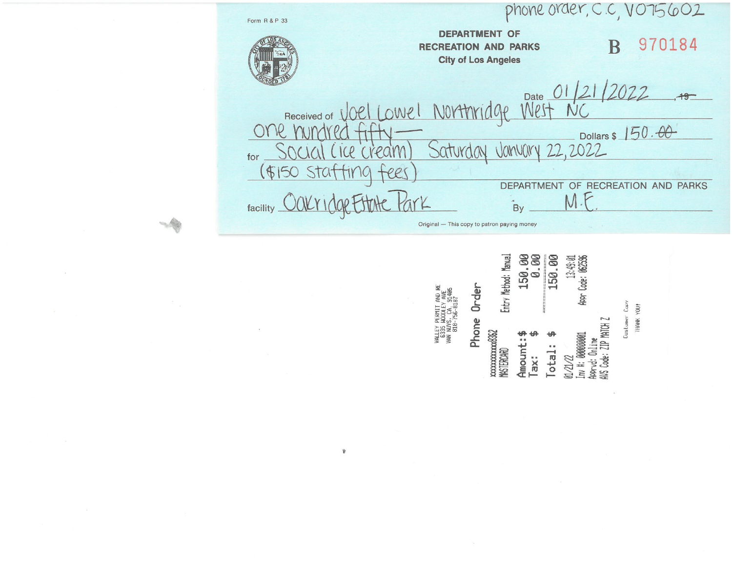phone order, C.C, VO75602 Form R & P 33 **DEPARTMENT OF** 970184 B **RECREATION AND PARKS City of Los Angeles** Date 01/21/2022  $+9$ Northrid Oel Lowel  $00$ Received of Dollars \$ 150.00 one Vanvary 22,2022 ice cream Saturday for (重) TIMA Stat ees DEPARTMENT OF RECREATION AND PARKS M.F facility By Original - This copy to patron paying money

## 150.00<br>0.00 150.00 13:49:01<br>Appr Code: 062596 Entry Method: Manual Phone Order Customer Copy AVS Code: ZIP MATCH Z xxxxxxxxxx8362<br>MASTERCARD  $inv$  #: 00000001 Appryd: Online Amount: otal: Tax: 01/21/22

THANK YOU!

VALLEY PERMIT AND<br>6335 MODOLEY AVE<br>VAN NUYS, CA. 9140<br>VAN NUYS, CA. 9140

 $\hat{\mathbf{y}}$